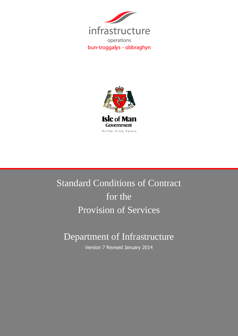



# Standard Conditions of Contract for the Provision of Services

# Department of Infrastructure

Version 7 Revised January 2014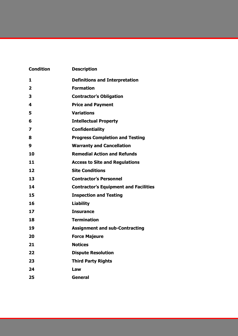| <b>Condition</b>        | <b>Description</b>                           |  |  |
|-------------------------|----------------------------------------------|--|--|
| 1                       | <b>Definitions and Interpretation</b>        |  |  |
| $\overline{2}$          | <b>Formation</b>                             |  |  |
| 3                       | <b>Contractor's Obligation</b>               |  |  |
| 4                       | <b>Price and Payment</b>                     |  |  |
| 5                       | <b>Variations</b>                            |  |  |
| 6                       | <b>Intellectual Property</b>                 |  |  |
| $\overline{\mathbf{z}}$ | <b>Confidentiality</b>                       |  |  |
| 8                       | <b>Progress Completion and Testing</b>       |  |  |
| 9                       | <b>Warranty and Cancellation</b>             |  |  |
| 10                      | <b>Remedial Action and Refunds</b>           |  |  |
| 11                      | <b>Access to Site and Regulations</b>        |  |  |
| 12                      | <b>Site Conditions</b>                       |  |  |
| 13                      | <b>Contractor's Personnel</b>                |  |  |
| 14                      | <b>Contractor's Equipment and Facilities</b> |  |  |
| 15                      | <b>Inspection and Testing</b>                |  |  |
| 16                      | <b>Liability</b>                             |  |  |
| 17                      | <b>Insurance</b>                             |  |  |
| 18                      | <b>Termination</b>                           |  |  |
| 19                      | <b>Assignment and sub-Contracting</b>        |  |  |
| 20                      | <b>Force Majeure</b>                         |  |  |
| 21                      | <b>Notices</b>                               |  |  |
| 22                      | <b>Dispute Resolution</b>                    |  |  |
| 23                      | <b>Third Party Rights</b>                    |  |  |
| 24                      | Law                                          |  |  |
| 25                      | <b>General</b>                               |  |  |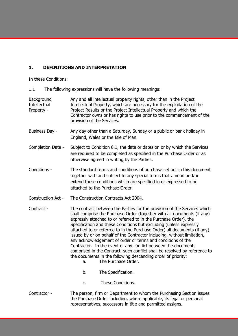# **1. DEFINITIONS AND INTERPRETATION**

In these Conditions:

1.1 The following expressions will have the following meanings:

| Background<br><b>Intellectual</b><br>Property - | Any and all intellectual property rights, other than in the Project<br>Intellectual Property, which are necessary for the exploitation of the<br>Project Results or the Project Intellectual Property and which the<br>Contractor owns or has rights to use prior to the commencement of the<br>provision of the Services.                                                                                                                                                                                                                                                                                                                                                                                                                                       |  |  |
|-------------------------------------------------|------------------------------------------------------------------------------------------------------------------------------------------------------------------------------------------------------------------------------------------------------------------------------------------------------------------------------------------------------------------------------------------------------------------------------------------------------------------------------------------------------------------------------------------------------------------------------------------------------------------------------------------------------------------------------------------------------------------------------------------------------------------|--|--|
| Business Day -                                  | Any day other than a Saturday, Sunday or a public or bank holiday in<br>England, Wales or the Isle of Man.                                                                                                                                                                                                                                                                                                                                                                                                                                                                                                                                                                                                                                                       |  |  |
| Completion Date -                               | Subject to Condition 8.1, the date or dates on or by which the Services<br>are required to be completed as specified in the Purchase Order or as<br>otherwise agreed in writing by the Parties.                                                                                                                                                                                                                                                                                                                                                                                                                                                                                                                                                                  |  |  |
| Conditions -                                    | The standard terms and conditions of purchase set out in this document<br>together with and subject to any special terms that amend and/or<br>extend these conditions which are specified in or expressed to be<br>attached to the Purchase Order.                                                                                                                                                                                                                                                                                                                                                                                                                                                                                                               |  |  |
| <b>Construction Act -</b>                       | The Construction Contracts Act 2004.                                                                                                                                                                                                                                                                                                                                                                                                                                                                                                                                                                                                                                                                                                                             |  |  |
|                                                 |                                                                                                                                                                                                                                                                                                                                                                                                                                                                                                                                                                                                                                                                                                                                                                  |  |  |
| Contract -                                      | The contract between the Parties for the provision of the Services which<br>shall comprise the Purchase Order (together with all documents (if any)<br>expressly attached to or referred to in the Purchase Order), the<br>Specification and these Conditions but excluding (unless expressly<br>attached to or referred to in the Purchase Order) all documents (if any)<br>issued by or on behalf of the Contractor including, without limitation,<br>any acknowledgement of order or terms and conditions of the<br>Contractor. In the event of any conflict between the documents<br>comprised in the Contract, such conflict shall be resolved by reference to<br>the documents in the following descending order of priority:<br>The Purchase Order.<br>a. |  |  |
|                                                 | b.<br>The Specification.                                                                                                                                                                                                                                                                                                                                                                                                                                                                                                                                                                                                                                                                                                                                         |  |  |

Contractor - The person, firm or Department to whom the Purchasing Section issues the Purchase Order including, where applicable, its legal or personal representatives, successors in title and permitted assigns.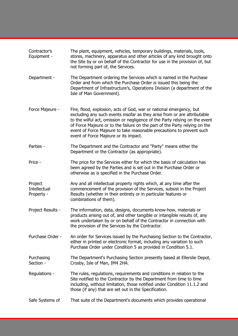| Contractor's<br>Equipment -           | The plant, equipment, vehicles, temporary buildings, materials, tools,<br>stores, machinery, apparatus and other articles of any kind brought onto<br>the Site by or on behalf of the Contractor for use in the provision of, but<br>not forming part of, the Services.                                                                                                                                                        |
|---------------------------------------|--------------------------------------------------------------------------------------------------------------------------------------------------------------------------------------------------------------------------------------------------------------------------------------------------------------------------------------------------------------------------------------------------------------------------------|
| Department -                          | The Department ordering the Services which is named in the Purchase<br>Order and from which the Purchase Order is issued this being the<br>Department of Infrastructure's, Operations Division (a department of the<br>Isle of Man Government).                                                                                                                                                                                |
| Force Majeure -                       | Fire, flood, explosion, acts of God, war or national emergency, but<br>excluding any such events insofar as they arise from or are attributable<br>to the wilful act, omission or negligence of the Party relying on the event<br>of Force Majeure or to the failure on the part of the Party relying on the<br>event of Force Majeure to take reasonable precautions to prevent such<br>event of Force Majeure or its impact. |
| Parties -                             | The Department and the Contractor and "Party" means either the<br>Department or the Contractor (as appropriate).                                                                                                                                                                                                                                                                                                               |
| Price -                               | The price for the Services either for which the basis of calculation has<br>been agreed by the Parties and is set out in the Purchase Order or<br>otherwise as is specified in the Purchase Order.                                                                                                                                                                                                                             |
| Project<br>Intellectual<br>Property - | Any and all intellectual property rights which, at any time after the<br>commencement of the provision of the Services, subsist in the Project<br>Results (whether in their entirety or in particular features or<br>combinations of them).                                                                                                                                                                                    |
| Project Results -                     | The information, data, designs, documents know-how, materials or<br>products arising out of, and other tangible or intangible results of, any<br>work undertaken by or on behalf of the Contractor in connection with<br>the provision of the Services by the Contractor.                                                                                                                                                      |
| Purchase Order -                      | An order for Services issued by the Purchasing Section to the Contractor,<br>either in printed or electronic format, including any variation to such<br>Purchase Order under Condition 5 as provided in Condition 5.1.                                                                                                                                                                                                         |
| Purchasing<br>Section -               | The Department's Purchasing Section presently based at Ellerslie Depot,<br>Crosby, Isle of Man, IM4 2HA.                                                                                                                                                                                                                                                                                                                       |
| Regulations -                         | The rules, regulations, requirements and conditions in relation to the<br>Site notified to the Contractor by the Department from time to time<br>including, without limitation, those notified under Condition 11.1.2 and<br>those (if any) that are set out in the Specification.                                                                                                                                             |
| Safe Systems of                       | That suite of the Department's documents which provides operational                                                                                                                                                                                                                                                                                                                                                            |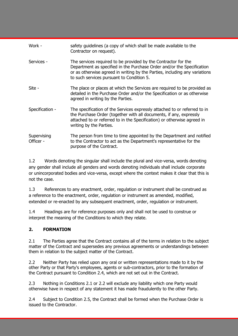| Work -                   | safety guidelines (a copy of which shall be made available to the<br>Contractor on request).                                                                                                                                                                        |
|--------------------------|---------------------------------------------------------------------------------------------------------------------------------------------------------------------------------------------------------------------------------------------------------------------|
| Services -               | The services required to be provided by the Contractor for the<br>Department as specified in the Purchase Order and/or the Specification<br>or as otherwise agreed in writing by the Parties, including any variations<br>to such services pursuant to Condition 5. |
| Site -                   | The place or places at which the Services are required to be provided as<br>detailed in the Purchase Order and/or the Specification or as otherwise<br>agreed in writing by the Parties.                                                                            |
| Specification -          | The specification of the Services expressly attached to or referred to in<br>the Purchase Order (together with all documents, if any, expressly<br>attached to or referred to in the Specification) or otherwise agreed in<br>writing by the Parties.               |
| Supervising<br>Officer - | The person from time to time appointed by the Department and notified<br>to the Contractor to act as the Department's representative for the<br>purpose of the Contract.                                                                                            |

1.2 Words denoting the singular shall include the plural and vice-versa, words denoting any gender shall include all genders and words denoting individuals shall include corporate or unincorporated bodies and vice-versa, except where the context makes it clear that this is not the case.

1.3 References to any enactment, order, regulation or instrument shall be construed as a reference to the enactment, order, regulation or instrument as amended, modified, extended or re-enacted by any subsequent enactment, order, regulation or instrument.

1.4 Headings are for reference purposes only and shall not be used to construe or interpret the meaning of the Conditions to which they relate.

# **2. FORMATION**

2.1 The Parties agree that the Contract contains all of the terms in relation to the subject matter of the Contract and supersedes any previous agreements or understandings between them in relation to the subject matter of the Contract.

2.2 Neither Party has relied upon any oral or written representations made to it by the other Party or that Party's employees, agents or sub-contractors, prior to the formation of the Contract pursuant to Condition 2.4, which are not set out in the Contract.

2.3 Nothing in Conditions 2.1 or 2.2 will exclude any liability which one Party would otherwise have in respect of any statement it has made fraudulently to the other Party.

2.4 Subject to Condition 2.5, the Contract shall be formed when the Purchase Order is issued to the Contractor.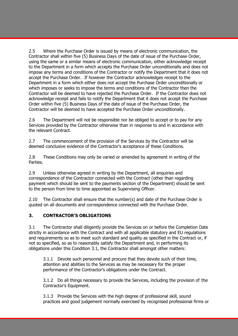2.5 Where the Purchase Order is issued by means of electronic communication, the Contractor shall within five (5) Business Days of the date of issue of the Purchase Order, using the same or a similar means of electronic communication, either acknowledge receipt to the Department in a form which accepts the Purchase Order unconditionally and does not impose any terms and conditions of the Contractor or notify the Department that it does not accept the Purchase Order. If however the Contractor acknowledges receipt to the Department in a form which either does not accept the Purchase Order unconditionally or which imposes or seeks to impose the terms and conditions of the Contractor then the Contractor will be deemed to have rejected the Purchase Order. If the Contractor does not acknowledge receipt and fails to notify the Department that it does not accept the Purchase Order within five (5) Business Days of the date of issue of the Purchase Order, the Contractor will be deemed to have accepted the Purchase Order unconditionally.

2.6 The Department will not be responsible nor be obliged to accept or to pay for any Services provided by the Contractor otherwise than in response to and in accordance with the relevant Contract.

2.7 The commencement of the provision of the Services by the Contractor will be deemed conclusive evidence of the Contractor's acceptance of these Conditions.

2.8 These Conditions may only be varied or amended by agreement in writing of the Parties.

2.9 Unless otherwise agreed in writing by the Department, all enquiries and correspondence of the Contractor connected with the Contract (other than regarding payment which should be sent to the payments section of the Department) should be sent to the person from time to time appointed as Supervising Officer.

2.10 The Contractor shall ensure that the number(s) and date of the Purchase Order is quoted on all documents and correspondence connected with the Purchase Order.

#### **3. CONTRACTOR'S OBLIGATIONS**

3.1 The Contractor shall diligently provide the Services on or before the Completion Date strictly in accordance with the Contract and with all applicable statutory and EU regulations and requirements so as to meet such standard and quality as specified in the Contract or, if not so specified, so as to reasonably satisfy the Department and, in performing its obligations under this Condition 3.1, the Contractor shall amongst other matters:

3.1.1 Devote such personnel and procure that they devote such of their time, attention and abilities to the Services as may be necessary for the proper performance of the Contractor's obligations under the Contract.

3.1.2 Do all things necessary to provide the Services, including the provision of the Contractor's Equipment.

3.1.3 Provide the Services with the high degree of professional skill, sound practices and good judgement normally exercised by recognised professional firms or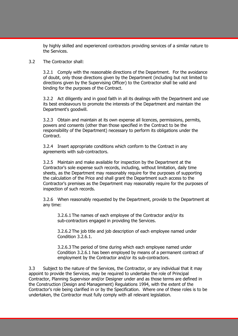by highly skilled and experienced contractors providing services of a similar nature to the Services.

#### 3.2 The Contractor shall:

3.2.1 Comply with the reasonable directions of the Department. For the avoidance of doubt, only those directions given by the Department (including but not limited to directions given by the Supervising Officer) to the Contractor shall be valid and binding for the purposes of the Contract.

3.2.2 Act diligently and in good faith in all its dealings with the Department and use its best endeavours to promote the interests of the Department and maintain the Department's goodwill.

3.2.3 Obtain and maintain at its own expense all licences, permissions, permits, powers and consents (other than those specified in the Contract to be the responsibility of the Department) necessary to perform its obligations under the Contract.

3.2.4 Insert appropriate conditions which conform to the Contract in any agreements with sub-contractors.

3.2.5 Maintain and make available for inspection by the Department at the Contractor's sole expense such records, including, without limitation, daily time sheets, as the Department may reasonably require for the purposes of supporting the calculation of the Price and shall grant the Department such access to the Contractor's premises as the Department may reasonably require for the purposes of inspection of such records.

3.2.6 When reasonably requested by the Department, provide to the Department at any time:

3.2.6.1 The names of each employee of the Contractor and/or its sub-contractors engaged in providing the Services.

3.2.6.2 The job title and job description of each employee named under Condition 3.2.6.1.

3.2.6.3 The period of time during which each employee named under Condition 3.2.6.1 has been employed by means of a permanent contract of employment by the Contractor and/or its sub-contractors.

3.3 Subject to the nature of the Services, the Contractor, or any individual that it may appoint to provide the Services, may be required to undertake the role of Principal Contractor, Planning Supervisor and/or Designer under and as those terms are defined in the Construction (Design and Management) Regulations 1994, with the extent of the Contractor's role being clarified in or by the Specification. Where one of these roles is to be undertaken, the Contractor must fully comply with all relevant legislation.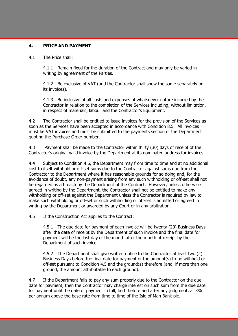#### **4. PRICE AND PAYMENT**

#### 4.1 The Price shall:

4.1.1 Remain fixed for the duration of the Contract and may only be varied in writing by agreement of the Parties.

4.1.2 Be exclusive of VAT (and the Contractor shall show the same separately on its invoices).

4.1.3 Be inclusive of all costs and expenses of whatsoever nature incurred by the Contractor in relation to the completion of the Services including, without limitation, in respect of materials, labour and the Contractor's Equipment.

4.2 The Contractor shall be entitled to issue invoices for the provision of the Services as soon as the Services have been accepted in accordance with Condition 8.5. All invoices must be VAT invoices and must be submitted to the payments section of the Department quoting the Purchase Order number.

4.3 Payment shall be made to the Contractor within thirty (30) days of receipt of the Contractor's original valid invoice by the Department at its nominated address for invoices.

4.4 Subject to Condition 4.6, the Department may from time to time and at no additional cost to itself withhold or off-set sums due to the Contractor against sums due from the Contractor to the Department where it has reasonable grounds for so doing and, for the avoidance of doubt, any non-payment arising from any such withholding or off-set shall not be regarded as a breach by the Department of the Contract. However, unless otherwise agreed in writing by the Department, the Contractor shall not be entitled to make any withholding or off-set against the Department unless the Contractor is required by law to make such withholding or off-set or such withholding or off-set is admitted or agreed in writing by the Department or awarded by any Court or in any arbitration.

4.5 If the Construction Act applies to the Contract:

4.5.1 The due date for payment of each invoice will be twenty (20) Business Days after the date of receipt by the Department of such invoice and the final date for payment will be the last day of the month after the month of receipt by the Department of such invoice.

4.5.2 The Department shall give written notice to the Contractor at least two (2) Business Days before the final date for payment of the amount(s) to be withheld or off-set pursuant to Condition 4.5 and the ground(s) therefore (and, if more than one ground, the amount attributable to each ground).

4.7 If the Department fails to pay any sum properly due to the Contractor on the due date for payment, then the Contractor may charge interest on such sum from the due date for payment until the date of payment in full, both before and after any judgment, at 3% per annum above the base rate from time to time of the Isle of Man Bank plc.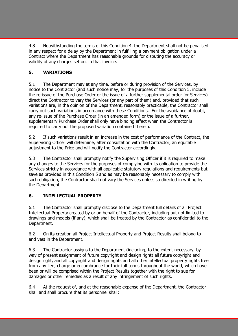4.8 Notwithstanding the terms of this Condition 4, the Department shall not be penalised in any respect for a delay by the Department in fulfilling a payment obligation under a Contract where the Department has reasonable grounds for disputing the accuracy or validity of any charges set out in that invoice.

# **5. VARIATIONS**

5.1 The Department may at any time, before or during provision of the Services, by notice to the Contractor (and such notice may, for the purposes of this Condition 5, include the re-issue of the Purchase Order or the issue of a further supplemental order for Services) direct the Contractor to vary the Services (or any part of them) and, provided that such variations are, in the opinion of the Department, reasonably practicable, the Contractor shall carry out such variations in accordance with these Conditions. For the avoidance of doubt, any re-issue of the Purchase Order (in an amended form) or the issue of a further, supplementary Purchase Order shall only have binding effect when the Contractor is required to carry out the proposed variation contained therein.

5.2 If such variations result in an increase in the cost of performance of the Contract, the Supervising Officer will determine, after consultation with the Contractor, an equitable adjustment to the Price and will notify the Contractor accordingly.

5.3 The Contractor shall promptly notify the Supervising Officer if it is required to make any changes to the Services for the purposes of complying with its obligation to provide the Services strictly in accordance with all applicable statutory regulations and requirements but, save as provided in this Condition 5 and as may be reasonably necessary to comply with such obligation, the Contractor shall not vary the Services unless so directed in writing by the Department.

# **6. INTELLECTUAL PROPERTY**

6.1 The Contractor shall promptly disclose to the Department full details of all Project Intellectual Property created by or on behalf of the Contractor, including but not limited to drawings and models (if any), which shall be treated by the Contractor as confidential to the Department.

6.2 On its creation all Project Intellectual Property and Project Results shall belong to and vest in the Department.

6.3 The Contractor assigns to the Department (including, to the extent necessary, by way of present assignment of future copyright and design right) all future copyright and design right, and all copyright and design rights and all other intellectual property rights free from any lien, charge or encumbrance for their full terms throughout the world, which have been or will be comprised within the Project Results together with the right to sue for damages or other remedies as a result of any infringement of such rights.

6.4 At the request of, and at the reasonable expense of the Department, the Contractor shall and shall procure that its personnel shall: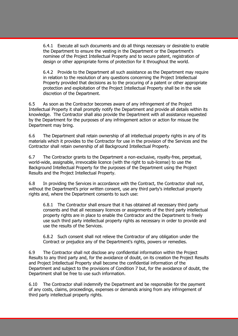6.4.1 Execute all such documents and do all things necessary or desirable to enable the Department to ensure the vesting in the Department or the Department's nominee of the Project Intellectual Property and to secure patent, registration of design or other appropriate forms of protection for it throughout the world.

6.4.2 Provide to the Department all such assistance as the Department may require in relation to the resolution of any questions concerning the Project Intellectual Property provided that decisions as to the procuring of a patent or other appropriate protection and exploitation of the Project Intellectual Property shall be in the sole discretion of the Department.

6.5 As soon as the Contractor becomes aware of any infringement of the Project Intellectual Property it shall promptly notify the Department and provide all details within its knowledge. The Contractor shall also provide the Department with all assistance requested by the Department for the purposes of any infringement action or action for misuse the Department may bring.

6.6 The Department shall retain ownership of all intellectual property rights in any of its materials which it provides to the Contractor for use in the provision of the Services and the Contractor shall retain ownership of all Background Intellectual Property.

6.7 The Contractor grants to the Department a non-exclusive, royalty-free, perpetual, world-wide, assignable, irrevocable licence (with the right to sub-license) to use the Background Intellectual Property for the purposes of the Department using the Project Results and the Project Intellectual Property.

6.8 In providing the Services in accordance with the Contract, the Contractor shall not, without the Department's prior written consent, use any third party's intellectual property rights and, where the Department consents to such use:

6.8.1 The Contractor shall ensure that it has obtained all necessary third party consents and that all necessary licences or assignments of the third party intellectual property rights are in place to enable the Contractor and the Department to freely use such third party intellectual property rights as necessary in order to provide and use the results of the Services.

6.8.2 Such consent shall not relieve the Contractor of any obligation under the Contract or prejudice any of the Department's rights, powers or remedies.

6.9 The Contractor shall not disclose any confidential information within the Project Results to any third party and, for the avoidance of doubt, on its creation the Project Results and Project Intellectual Property shall become the confidential information of the Department and subject to the provisions of Condition 7 but, for the avoidance of doubt, the Department shall be free to use such information.

6.10 The Contractor shall indemnify the Department and be responsible for the payment of any costs, claims, proceedings, expenses or demands arising from any infringement of third party intellectual property rights.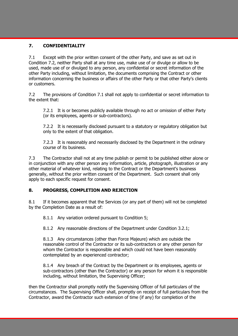#### **7. CONFIDENTIALITY**

7.1 Except with the prior written consent of the other Party, and save as set out in Condition 7.2, neither Party shall at any time use, make use of or divulge or allow to be used, made use of or divulged to any person, any confidential or secret information of the other Party including, without limitation, the documents comprising the Contract or other information concerning the business or affairs of the other Party or that other Party's clients or customers.

7.2 The provisions of Condition 7.1 shall not apply to confidential or secret information to the extent that:

7.2.1 It is or becomes publicly available through no act or omission of either Party (or its employees, agents or sub-contractors).

7.2.2 It is necessarily disclosed pursuant to a statutory or regulatory obligation but only to the extent of that obligation.

7.2.3 It is reasonably and necessarily disclosed by the Department in the ordinary course of its business.

7.3 The Contractor shall not at any time publish or permit to be published either alone or in conjunction with any other person any information, article, photograph, illustration or any other material of whatever kind, relating to the Contract or the Department's business generally, without the prior written consent of the Department. Such consent shall only apply to each specific request for consent.

#### **8. PROGRESS, COMPLETION AND REJECTION**

8.1 If it becomes apparent that the Services (or any part of them) will not be completed by the Completion Date as a result of:

8.1.1 Any variation ordered pursuant to Condition 5;

8.1.2 Any reasonable directions of the Department under Condition 3.2.1;

8.1.3 Any circumstances (other than Force Majeure) which are outside the reasonable control of the Contractor or its sub-contractors or any other person for whom the Contractor is responsible and which could not have been reasonably contemplated by an experienced contractor;

8.1.4 Any breach of the Contract by the Department or its employees, agents or sub-contractors (other than the Contractor) or any person for whom it is responsible including, without limitation, the Supervising Officer;

then the Contractor shall promptly notify the Supervising Officer of full particulars of the circumstances. The Supervising Officer shall, promptly on receipt of full particulars from the Contractor, award the Contractor such extension of time (if any) for completion of the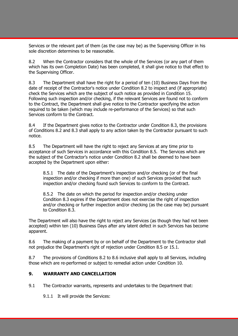Services or the relevant part of them (as the case may be) as the Supervising Officer in his sole discretion determines to be reasonable.

8.2 When the Contractor considers that the whole of the Services (or any part of them which has its own Completion Date) has been completed, it shall give notice to that effect to the Supervising Officer.

8.3 The Department shall have the right for a period of ten (10) Business Days from the date of receipt of the Contractor's notice under Condition 8.2 to inspect and (if appropriate) check the Services which are the subject of such notice as provided in Condition 15. Following such inspection and/or checking, if the relevant Services are found not to conform to the Contract, the Department shall give notice to the Contractor specifying the action required to be taken (which may include re-performance of the Services) so that such Services conform to the Contract.

8.4 If the Department gives notice to the Contractor under Condition 8.3, the provisions of Conditions 8.2 and 8.3 shall apply to any action taken by the Contractor pursuant to such notice.

8.5 The Department will have the right to reject any Services at any time prior to acceptance of such Services in accordance with this Condition 8.5. The Services which are the subject of the Contractor's notice under Condition 8.2 shall be deemed to have been accepted by the Department upon either:

8.5.1 The date of the Department's inspection and/or checking (or of the final inspection and/or checking if more than one) of such Services provided that such inspection and/or checking found such Services to conform to the Contract.

8.5.2 The date on which the period for inspection and/or checking under Condition 8.3 expires if the Department does not exercise the right of inspection and/or checking or further inspection and/or checking (as the case may be) pursuant to Condition 8.3.

The Department will also have the right to reject any Services (as though they had not been accepted) within ten (10) Business Days after any latent defect in such Services has become apparent.

8.6 The making of a payment by or on behalf of the Department to the Contractor shall not prejudice the Department's right of rejection under Condition 8.5 or 15.1.

8.7 The provisions of Conditions 8.2 to 8.6 inclusive shall apply to all Services, including those which are re-performed or subject to remedial action under Condition 10.

#### **9. WARRANTY AND CANCELLATION**

9.1 The Contractor warrants, represents and undertakes to the Department that:

9.1.1 It will provide the Services: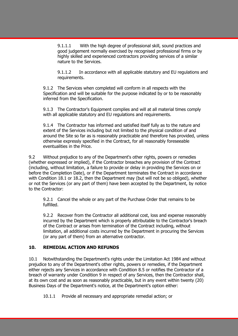9.1.1.1 With the high degree of professional skill, sound practices and good judgement normally exercised by recognised professional firms or by highly skilled and experienced contractors providing services of a similar nature to the Services.

9.1.1.2 In accordance with all applicable statutory and EU regulations and requirements.

9.1.2 The Services when completed will conform in all respects with the Specification and will be suitable for the purpose indicated by or to be reasonably inferred from the Specification.

9.1.3 The Contractor's Equipment complies and will at all material times comply with all applicable statutory and EU regulations and requirements.

9.1.4 The Contractor has informed and satisfied itself fully as to the nature and extent of the Services including but not limited to the physical condition of and around the Site so far as is reasonably practicable and therefore has provided, unless otherwise expressly specified in the Contract, for all reasonably foreseeable eventualities in the Price.

9.2 Without prejudice to any of the Department's other rights, powers or remedies (whether expressed or implied), if the Contractor breaches any provision of the Contract (including, without limitation, a failure to provide or delay in providing the Services on or before the Completion Date), or if the Department terminates the Contract in accordance with Condition 18.1 or 18.2, then the Department may (but will not be so obliged), whether or not the Services (or any part of them) have been accepted by the Department, by notice to the Contractor:

9.2.1 Cancel the whole or any part of the Purchase Order that remains to be fulfilled.

9.2.2 Recover from the Contractor all additional cost, loss and expense reasonably incurred by the Department which is properly attributable to the Contractor's breach of the Contract or arises from termination of the Contract including, without limitation, all additional costs incurred by the Department in procuring the Services (or any part of them) from an alternative contractor.

# **10. REMEDIAL ACTION AND REFUNDS**

10.1 Notwithstanding the Department's rights under the Limitation Act 1984 and without prejudice to any of the Department's other rights, powers or remedies, if the Department either rejects any Services in accordance with Condition 8.5 or notifies the Contractor of a breach of warranty under Condition 9 in respect of any Services, then the Contractor shall, at its own cost and as soon as reasonably practicable, but in any event within twenty (20) Business Days of the Department's notice, at the Department's option either:

10.1.1 Provide all necessary and appropriate remedial action; or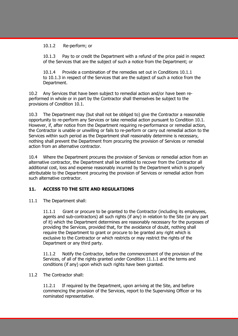#### 10.1.2 Re-perform; or

10.1.3 Pay to or credit the Department with a refund of the price paid in respect of the Services that are the subject of such a notice from the Department; or

10.1.4 Provide a combination of the remedies set out in Conditions 10.1.1 to 10.1.3 in respect of the Services that are the subject of such a notice from the Department.

10.2 Any Services that have been subject to remedial action and/or have been reperformed in whole or in part by the Contractor shall themselves be subject to the provisions of Condition 10.1.

10.3 The Department may (but shall not be obliged to) give the Contractor a reasonable opportunity to re-perform any Services or take remedial action pursuant to Condition 10.1. However, if, after notice from the Department requiring re-performance or remedial action, the Contractor is unable or unwilling or fails to re-perform or carry out remedial action to the Services within such period as the Department shall reasonably determine is necessary, nothing shall prevent the Department from procuring the provision of Services or remedial action from an alternative contractor.

10.4 Where the Department procures the provision of Services or remedial action from an alternative contractor, the Department shall be entitled to recover from the Contractor all additional cost, loss and expense reasonably incurred by the Department which is properly attributable to the Department procuring the provision of Services or remedial action from such alternative contractor.

#### **11. ACCESS TO THE SITE AND REGULATIONS**

11.1 The Department shall:

11.1.1 Grant or procure to be granted to the Contractor (including its employees, agents and sub-contractors) all such rights (if any) in relation to the Site (or any part of it) which the Department determines are reasonably necessary for the purposes of providing the Services, provided that, for the avoidance of doubt, nothing shall require the Department to grant or procure to be granted any right which is exclusive to the Contractor or which restricts or may restrict the rights of the Department or any third party.

11.1.2 Notify the Contractor, before the commencement of the provision of the Services, of all of the rights granted under Condition 11.1.1 and the terms and conditions (if any) upon which such rights have been granted.

#### 11.2 The Contractor shall:

11.2.1 If required by the Department, upon arriving at the Site, and before commencing the provision of the Services, report to the Supervising Officer or his nominated representative.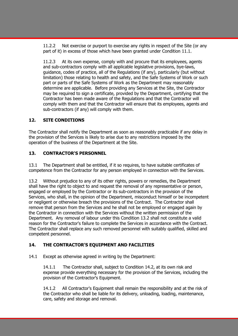11.2.2 Not exercise or purport to exercise any rights in respect of the Site (or any part of it) in excess of those which have been granted under Condition 11.1.

11.2.3 At its own expense, comply with and procure that its employees, agents and sub-contractors comply with all applicable legislative provisions, bye-laws, guidance, codes of practice, all of the Regulations (if any), particularly (but without limitation) those relating to health and safety, and the Safe Systems of Work or such part or parts of the Safe Systems of Work as the Department may reasonably determine are applicable. Before providing any Services at the Site, the Contractor may be required to sign a certificate, provided by the Department, certifying that the Contractor has been made aware of the Regulations and that the Contractor will comply with them and that the Contractor will ensure that its employees, agents and sub-contractors (if any) will comply with them.

#### **12. SITE CONDITIONS**

The Contractor shall notify the Department as soon as reasonably practicable if any delay in the provision of the Services is likely to arise due to any restrictions imposed by the operation of the business of the Department at the Site.

# **13. CONTRACTOR'S PERSONNEL**

13.1 The Department shall be entitled, if it so requires, to have suitable certificates of competence from the Contractor for any person employed in connection with the Services.

13.2 Without prejudice to any of its other rights, powers or remedies, the Department shall have the right to object to and request the removal of any representative or person, engaged or employed by the Contractor or its sub-contractors in the provision of the Services, who shall, in the opinion of the Department, misconduct himself or be incompetent or negligent or otherwise breach the provisions of the Contract. The Contractor shall remove that person from the Services and he shall not be employed or engaged again by the Contractor in connection with the Services without the written permission of the Department. Any removal of labour under this Condition 13.2 shall not constitute a valid reason for the Contractor's failure to complete the Services in accordance with the Contract. The Contractor shall replace any such removed personnel with suitably qualified, skilled and competent personnel.

# **14. THE CONTRACTOR'S EQUIPMENT AND FACILITIES**

14.1 Except as otherwise agreed in writing by the Department:

14.1.1 The Contractor shall, subject to Condition 14.2, at its own risk and expense provide everything necessary for the provision of the Services, including the provision of the Contractor's Equipment.

14.1.2 All Contractor's Equipment shall remain the responsibility and at the risk of the Contractor who shall be liable for its delivery, unloading, loading, maintenance, care, safety and storage and removal.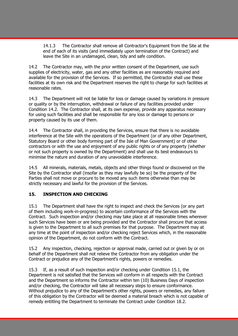14.1.3 The Contractor shall remove all Contractor's Equipment from the Site at the end of each of its visits (and immediately upon termination of the Contract) and leave the Site in an undamaged, clean, tidy and safe condition.

14.2 The Contractor may, with the prior written consent of the Department, use such supplies of electricity, water, gas and any other facilities as are reasonably required and available for the provision of the Services. If so permitted, the Contractor shall use these facilities at its own risk and the Department reserves the right to charge for such facilities at reasonable rates.

14.3 The Department will not be liable for loss or damage caused by variations in pressure or quality or by the interruption, withdrawal or failure of any facilities provided under Condition 14.2. The Contractor shall, at its own expense, provide any apparatus necessary for using such facilities and shall be responsible for any loss or damage to persons or property caused by its use of them.

14.4 The Contractor shall, in providing the Services, ensure that there is no avoidable interference at the Site with the operations of the Department (or of any other Department, Statutory Board or other body forming part of the Isle of Man Government) or of other contractors or with the use and enjoyment of any public rights or of any property (whether or not such property is owned by the Department) and shall use its best endeavours to minimise the nature and duration of any unavoidable interference.

14.5 All minerals, materials, metals, objects and other things found or discovered on the Site by the Contractor shall (insofar as they may lawfully be so) be the property of the Parties shall not move or procure to be moved any such items otherwise than may be strictly necessary and lawful for the provision of the Services.

#### **15. INSPECTION AND CHECKING**

15.1 The Department shall have the right to inspect and check the Services (or any part of them including work-in-progress) to ascertain conformance of the Services with the Contract. Such inspection and/or checking may take place at all reasonable times wherever such Services have been or are being provided and the Contractor shall procure that access is given to the Department to all such premises for that purpose. The Department may at any time at the point of inspection and/or checking reject Services which, in the reasonable opinion of the Department, do not conform with the Contract.

15.2 Any inspection, checking, rejection or approval made, carried out or given by or on behalf of the Department shall not relieve the Contractor from any obligation under the Contract or prejudice any of the Department's rights, powers or remedies.

15.3 If, as a result of such inspection and/or checking under Condition 15.1, the Department is not satisfied that the Services will conform in all respects with the Contract and the Department so informs the Contractor within ten (10) Business Days of inspection and/or checking, the Contractor will take all necessary steps to ensure conformance. Without prejudice to any of the Department's other rights, powers or remedies, any failure of this obligation by the Contractor will be deemed a material breach which is not capable of remedy entitling the Department to terminate the Contract under Condition 18.2.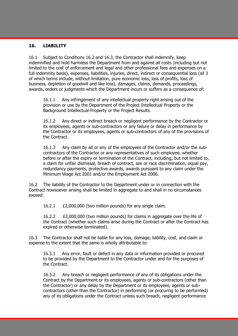#### **16. LIABILITY**

16.1 Subject to Conditions 16.2 and 16.3, the Contractor shall indemnify, keep indemnified and hold harmless the Department from and against all costs (including but not limited to the cost of enforcement and legal and other professional fees and expenses on a full indemnity basis), expenses, liabilities, injuries, direct, indirect or consequential loss (all 3 of which terms include, without limitation, pure economic loss, loss of profits, loss of business, depletion of goodwill and like loss), damages, claims, demands, proceedings, awards, orders or judgments which the Department incurs or suffers as a consequence of:

16.1.1 Any infringement of any intellectual property right arising out of the provision or use by the Department of the Project Intellectual Property or the Background Intellectual Property or the Project Results.

16.1.2 Any direct or indirect breach or negligent performance by the Contractor or its employees, agents or sub-contractors or any failure or delay in performance by the Contractor or its employees, agents or sub-contractors of any of the provisions of the Contract.

16.1.3 Any claim by all or any of the employees of the Contractor and/or the subcontractors of the Contractor or any representatives of such employee, whether before or after the expiry or termination of the Contract, including, but not limited to, a claim for unfair dismissal, breach of contract, sex or race discrimination, equal pay, redundancy payments, protective awards, awards pursuant to any claim under the Minimum Wage Act 2001 and/or the Employment Act 2006.

16.2 The liability of the Contractor to the Department under or in connection with the Contract howsoever arising shall be limited in aggregate to and shall in no circumstances exceed:

16.2.1 £2,000,000 (two million pounds) for any single claim.

16.2.2 £2,000,000 (two million pounds) for claims in aggregate over the life of the Contract (whether such claims arise during the Contract or after the Contract has expired or otherwise terminated).

16.3 The Contractor shall not be liable for any loss, damage, liability, cost, and claim or expense to the extent that the same is wholly attributable to:

16.3.1 Any error, fault or defect in any data or information provided or procured to be provided by the Department to the Contractor under and for the purposes of the Contract.

16.3.2 Any breach or negligent performance of any of its obligations under the Contract by the Department or its employees, agents or sub-contractors (other than the Contractor) or any delay by the Department or its employees, agents or subcontractors (other than the Contractor) in performing (or procuring to be performed) any of its obligations under the Contract unless such breach, negligent performance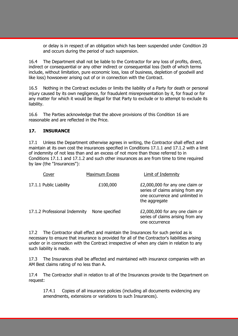or delay is in respect of an obligation which has been suspended under Condition 20 and occurs during the period of such suspension.

16.4 The Department shall not be liable to the Contractor for any loss of profits, direct, indirect or consequential or any other indirect or consequential loss (both of which terms include, without limitation, pure economic loss, loss of business, depletion of goodwill and like loss) howsoever arising out of or in connection with the Contract.

16.5 Nothing in the Contract excludes or limits the liability of a Party for death or personal injury caused by its own negligence, for fraudulent misrepresentation by it, for fraud or for any matter for which it would be illegal for that Party to exclude or to attempt to exclude its liability.

16.6 The Parties acknowledge that the above provisions of this Condition 16 are reasonable and are reflected in the Price.

#### **17. INSURANCE**

17.1 Unless the Department otherwise agrees in writing, the Contractor shall effect and maintain at its own cost the insurances specified in Conditions 17.1.1 and 17.1.2 with a limit of indemnity of not less than and an excess of not more than those referred to in Conditions 17.1.1 and 17.1.2 and such other insurances as are from time to time required by law (the "Insurances"):

| Cover                         | <b>Maximum Excess</b> | Limit of Indemnity                                                                                                       |
|-------------------------------|-----------------------|--------------------------------------------------------------------------------------------------------------------------|
| 17.1.1 Public Liability       | £100,000              | £2,000,000 for any one claim or<br>series of claims arising from any<br>one occurrence and unlimited in<br>the aggregate |
| 17.1.2 Professional Indemnity | None specified        | £2,000,000 for any one claim or<br>series of claims arising from any<br>one occurrence                                   |

17.2 The Contractor shall effect and maintain the Insurances for such period as is necessary to ensure that insurance is provided for all of the Contractor's liabilities arising under or in connection with the Contract irrespective of when any claim in relation to any such liability is made.

17.3 The Insurances shall be affected and maintained with insurance companies with an AM Best claims rating of no less than A.

17.4 The Contractor shall in relation to all of the Insurances provide to the Department on request:

17.4.1 Copies of all insurance policies (including all documents evidencing any amendments, extensions or variations to such Insurances).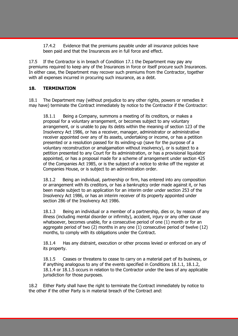17.4.2 Evidence that the premiums payable under all insurance policies have been paid and that the Insurances are in full force and effect.

17.5 If the Contractor is in breach of Condition 17.1 the Department may pay any premiums required to keep any of the Insurances in force or itself procure such Insurances. In either case, the Department may recover such premiums from the Contractor, together with all expenses incurred in procuring such insurance, as a debt.

# **18. TERMINATION**

18.1 The Department may (without prejudice to any other rights, powers or remedies it may have) terminate the Contract immediately by notice to the Contractor if the Contractor:

18.1.1 Being a Company, summons a meeting of its creditors, or makes a proposal for a voluntary arrangement, or becomes subject to any voluntary arrangement, or is unable to pay its debts within the meaning of section 123 of the Insolvency Act 1986, or has a receiver, manager, administrator or administrative receiver appointed over any of its assets, undertaking or income, or has a petition presented or a resolution passed for its winding-up (save for the purpose of a voluntary reconstruction or amalgamation without insolvency), or is subject to a petition presented to any Court for its administration, or has a provisional liquidator appointed, or has a proposal made for a scheme of arrangement under section 425 of the Companies Act 1985, or is the subject of a notice to strike off the register at Companies House, or is subject to an administration order.

18.1.2 Being an individual, partnership or firm, has entered into any composition or arrangement with its creditors, or has a bankruptcy order made against it, or has been made subject to an application for an interim order under section 253 of the Insolvency Act 1986, or has an interim receiver of its property appointed under section 286 of the Insolvency Act 1986.

18.1.3 Being an individual or a member of a partnership, dies or, by reason of any illness (including mental disorder or infirmity), accident, injury or any other cause whatsoever, becomes unable, for a consecutive period of one (1) month or for an aggregate period of two (2) months in any one (1) consecutive period of twelve (12) months, to comply with its obligations under the Contract.

18.1.4 Has any distraint, execution or other process levied or enforced on any of its property.

18.1.5 Ceases or threatens to cease to carry on a material part of its business, or if anything analogous to any of the events specified in Conditions 18.1.1, 18.1.2, 18.1.4 or 18.1.5 occurs in relation to the Contractor under the laws of any applicable jurisdiction for those purposes.

18.2 Either Party shall have the right to terminate the Contract immediately by notice to the other if the other Party is in material breach of the Contract and: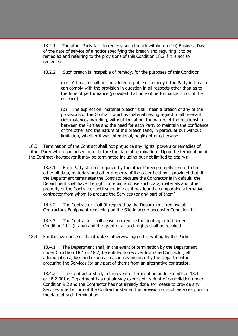18.2.1 The other Party fails to remedy such breach within ten (10) Business Days of the date of service of a notice specifying the breach and requiring it to be remedied and referring to the provisions of this Condition 18.2 if it is not so remedied.

18.2.2 Such breach is incapable of remedy, for the purposes of this Condition

(a) A breach shall be considered capable of remedy if the Party in breach can comply with the provision in question in all respects other than as to the time of performance (provided that time of performance is not of the essence).

(b) The expression "material breach" shall mean a breach of any of the provisions of the Contract which is material having regard to all relevant circumstances including, without limitation, the nature of the relationship between the Parties and the need for each Party to maintain the confidence of the other and the nature of the breach (and, in particular but without limitation, whether it was intentional, negligent or otherwise).

18.3 Termination of the Contract shall not prejudice any rights, powers or remedies of either Party which had arisen on or before the date of termination. Upon the termination of the Contract (howsoever it may be terminated including but not limited to expiry):

18.3.1 Each Party shall (if required by the other Party) promptly return to the other all data, materials and other property of the other held by it provided that, if the Department terminates the Contract because the Contractor is in default, the Department shall have the right to retain and use such data, materials and other property of the Contractor until such time as it has found a comparable alternative contractor from whom to procure the Services (or any part of them).

18.3.2 The Contractor shall (if required by the Department) remove all Contractor's Equipment remaining on the Site in accordance with Condition 14.

18.3.3 The Contractor shall cease to exercise the rights granted under Condition 11.1 (if any) and the grant of all such rights shall be revoked.

#### 18.4 For the avoidance of doubt unless otherwise agreed in writing by the Parties:

18.4.1 The Department shall, in the event of termination by the Department under Condition 18.1 or 18.2, be entitled to recover from the Contractor, all additional cost, loss and expense reasonably incurred by the Department in procuring the Services (or any part of them) from an alternative contractor.

18.4.2 The Contractor shall, in the event of termination under Condition 18.1 or 18.2 (if the Department has not already exercised its right of cancellation under Condition 9.2 and the Contractor has not already done so), cease to provide any Services whether or not the Contractor started the provision of such Services prior to the date of such termination.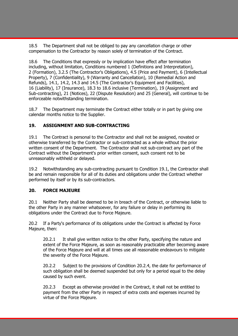18.5 The Department shall not be obliged to pay any cancellation charge or other compensation to the Contractor by reason solely of termination of the Contract.

The Conditions that expressly or by implication have effect after termination including, without limitation, Conditions numbered 1 (Definitions and Interpretation), 2 (Formation), 3.2.5 (The Contractor's Obligations), 4.5 (Price and Payment), 6 (Intellectual Property), 7 (Confidentiality), 9 (Warranty and Cancellation), 10 (Remedial Action and Refunds), 14.1, 14.2, 14.3 and 14.5 (The Contractor's Equipment and Facilities), 16 (Liability), 17 (Insurance), 18.3 to 18.6 inclusive (Termination), 19 (Assignment and Sub-contracting), 21 (Notices), 22 (Dispute Resolution) and 25 (General), will continue to be enforceable notwithstanding termination.

18.7 The Department may terminate the Contract either totally or in part by giving one calendar months notice to the Supplier.

#### **19. ASSIGNMENT AND SUB-CONTRACTING**

19.1 The Contract is personal to the Contractor and shall not be assigned, novated or otherwise transferred by the Contractor or sub-contracted as a whole without the prior written consent of the Department. The Contractor shall not sub-contract any part of the Contract without the Department's prior written consent, such consent not to be unreasonably withheld or delayed.

19.2 Notwithstanding any sub-contracting pursuant to Condition 19.1, the Contractor shall be and remain responsible for all of its duties and obligations under the Contract whether performed by itself or by its sub-contractors.

#### **20. FORCE MAJEURE**

20.1 Neither Party shall be deemed to be in breach of the Contract, or otherwise liable to the other Party in any manner whatsoever, for any failure or delay in performing its obligations under the Contract due to Force Majeure.

20.2 If a Party's performance of its obligations under the Contract is affected by Force Majeure, then:

20.2.1 It shall give written notice to the other Party, specifying the nature and extent of the Force Majeure, as soon as reasonably practicable after becoming aware of the Force Majeure and will at all times use all reasonable endeavours to mitigate the severity of the Force Majeure.

20.2.2 Subject to the provisions of Condition 20.2.4, the date for performance of such obligation shall be deemed suspended but only for a period equal to the delay caused by such event.

20.2.3 Except as otherwise provided in the Contract, it shall not be entitled to payment from the other Party in respect of extra costs and expenses incurred by virtue of the Force Majeure.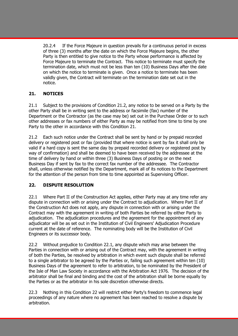20.2.4 If the Force Majeure in question prevails for a continuous period in excess of three (3) months after the date on which the Force Majeure begins, the other Party is then entitled to give notice to the Party whose performance is affected by Force Majeure to terminate the Contract. This notice to terminate must specify the termination date, which must not be less than ten (10) Business Days after the date on which the notice to terminate is given. Once a notice to terminate has been validly given, the Contract will terminate on the termination date set out in the notice.

# **21. NOTICES**

21.1 Subject to the provisions of Condition 21.2, any notice to be served on a Party by the other Party shall be in writing sent to the address or facsimile (fax) number of the Department or the Contractor (as the case may be) set out in the Purchase Order or to such other addresses or fax numbers of either Party as may be notified from time to time by one Party to the other in accordance with this Condition 21.

21.2 Each such notice under the Contract shall be sent by hand or by prepaid recorded delivery or registered post or fax (provided that where notice is sent by fax it shall only be valid if a hard copy is sent the same day by prepaid recorded delivery or registered post by way of confirmation) and shall be deemed to have been received by the addressee at the time of delivery by hand or within three (3) Business Days of posting or on the next Business Day if sent by fax to the correct fax number of the addressee. The Contractor shall, unless otherwise notified by the Department, mark all of its notices to the Department for the attention of the person from time to time appointed as Supervising Officer.

#### **22. DISPUTE RESOLUTION**

22.1 Where Part II of the Construction Act applies, either Party may at any time refer any dispute in connection with or arising under the Contract to adjudication. Where Part II of the Construction Act does not apply, any dispute in connection with or arising under the Contract may with the agreement in writing of both Parties be referred by either Party to adjudication. The adjudication procedures and the agreement for the appointment of any adjudicator will be as set out in the Institution of Civil Engineers' Adjudication Procedure current at the date of reference. The nominating body will be the Institution of Civil Engineers or its successor body.

22.2 Without prejudice to Condition 22.1, any dispute which may arise between the Parties in connection with or arising out of the Contract may, with the agreement in writing of both the Parties, be resolved by arbitration in which event such dispute shall be referred to a single arbitrator to be agreed by the Parties or, failing such agreement within ten (10) Business Days of the agreement to refer to arbitration, to be nominated by the President of the Isle of Man Law Society in accordance with the Arbitration Act 1976. The decision of the arbitrator shall be final and binding and the cost of the arbitration shall be borne equally by the Parties or as the arbitrator in his sole discretion otherwise directs.

22.3 Nothing in this Condition 22 will restrict either Party's freedom to commence legal proceedings of any nature where no agreement has been reached to resolve a dispute by arbitration.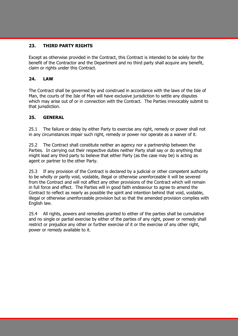#### **23. THIRD PARTY RIGHTS**

Except as otherwise provided in the Contract, this Contract is intended to be solely for the benefit of the Contractor and the Department and no third party shall acquire any benefit, claim or rights under this Contract.

#### **24. LAW**

The Contract shall be governed by and construed in accordance with the laws of the Isle of Man, the courts of the Isle of Man will have exclusive jurisdiction to settle any disputes which may arise out of or in connection with the Contract. The Parties irrevocably submit to that jurisdiction.

#### **25. GENERAL**

25.1 The failure or delay by either Party to exercise any right, remedy or power shall not in any circumstances impair such right, remedy or power nor operate as a waiver of it.

25.2 The Contract shall constitute neither an agency nor a partnership between the Parties. In carrying out their respective duties neither Party shall say or do anything that might lead any third party to believe that either Party (as the case may be) is acting as agent or partner to the other Party.

25.3 If any provision of the Contract is declared by a judicial or other competent authority to be wholly or partly void, voidable, illegal or otherwise unenforceable it will be severed from the Contract and will not affect any other provisions of the Contract which will remain in full force and effect. The Parties will in good faith endeavour to agree to amend the Contract to reflect as nearly as possible the spirit and intention behind that void, voidable, illegal or otherwise unenforceable provision but so that the amended provision complies with English law.

25.4 All rights, powers and remedies granted to either of the parties shall be cumulative and no single or partial exercise by either of the parties of any right, power or remedy shall restrict or prejudice any other or further exercise of it or the exercise of any other right, power or remedy available to it.